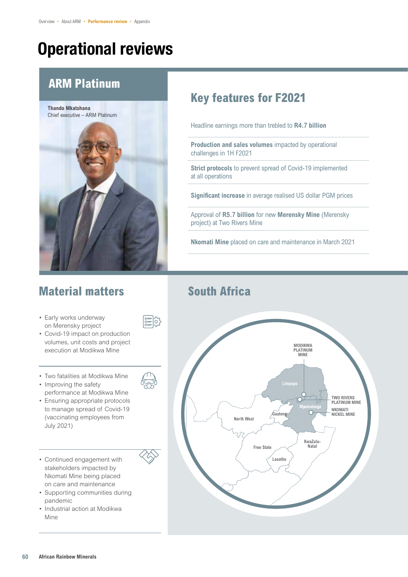# Operational reviews

### **ARM Platinum**

**Thando Mkatshana**  Chief executive – ARM Platinum

### **Material matters**

- Early works underway on Merensky project
- Covid-19 impact on production volumes, unit costs and project execution at Modikwa Mine
- Two fatalities at Modikwa Mine
- Improving the safety performance at Modikwa Mine
- Ensuring appropriate protocols to manage spread of Covid-19 (vaccinating employees from July 2021)
- Continued engagement with stakeholders impacted by Nkomati Mine being placed on care and maintenance
- Supporting communities during pandemic
- Industrial action at Modikwa Mine

# 티)



challenges in 1H F2021

**Nkomati Mine** placed on care and maintenance in March 2021

**Key features for F2021**

Headline earnings more than trebled to **R4.7 billion**

**Production and sales volumes** impacted by operational

**Strict protocols** to prevent spread of Covid-19 implemented

### **South Africa**

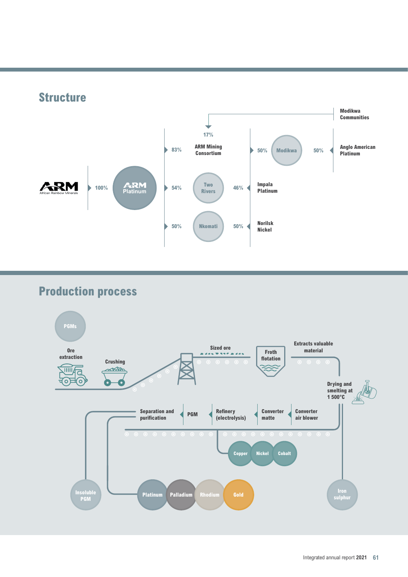

## **Production process**

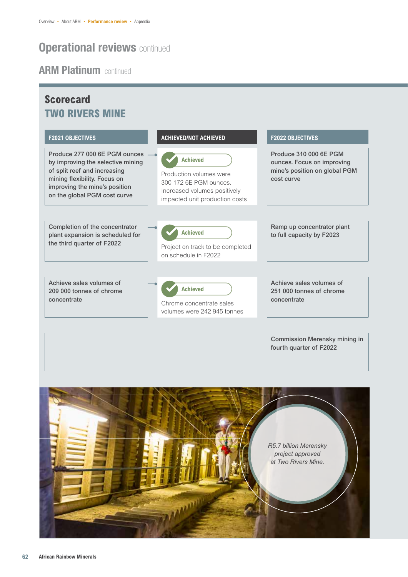### **ARM Platinum continued**

**Scorecard**

#### **F2021 OBJECTIVES ACHIEVED/NOT ACHIEVED F2022 OBJECTIVES** Produce 277 000 6E PGM ounces by improving the selective mining of split reef and increasing mining flexibility. Focus on improving the mine's position on the global PGM cost curve **Achieved** Production volumes were 300 172 6E PGM ounces. Increased volumes positively impacted unit production costs Produce 310 000 6E PGM ounces. Focus on improving mine's position on global PGM cost curve Completion of the concentrator plant expansion is scheduled for the third quarter of F2022 **Achieved** Project on track to be completed on schedule in F2022 Ramp up concentrator plant to full capacity by F2023 Achieve sales volumes of 209 000 tonnes of chrome concentrate **Achieved** Chrome concentrate sales volumes were 242 945 tonnes Achieve sales volumes of 251 000 tonnes of chrome concentrate **TWO RIVERS MINE**



Commission Merensky mining in

fourth quarter of F2022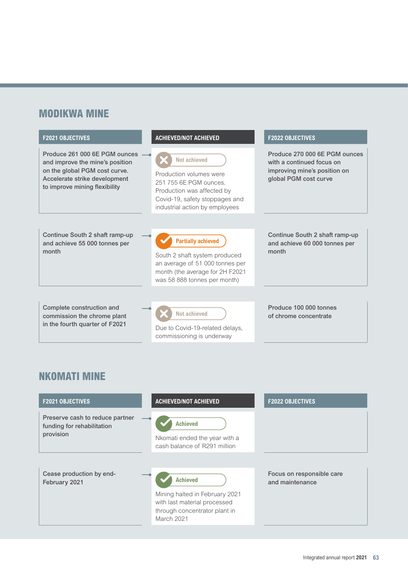### **MODIKWA MINE**



| <b>F2021 OBJECTIVES</b>                                                    | <b>ACHIEVED/NOT ACHIEVED</b>                                                                                       | <b>F2022 OBJECTIVES</b>                      |
|----------------------------------------------------------------------------|--------------------------------------------------------------------------------------------------------------------|----------------------------------------------|
| Preserve cash to reduce partner<br>funding for rehabilitation<br>provision | <b>Achieved</b><br>Nkomati ended the year with a<br>cash balance of R291 million                                   |                                              |
| Cease production by end-<br>February 2021                                  | <b>Achieved</b><br>Mining halted in February 2021<br>with last material processed<br>through concentrator plant in | Focus on responsible care<br>and maintenance |

March 2021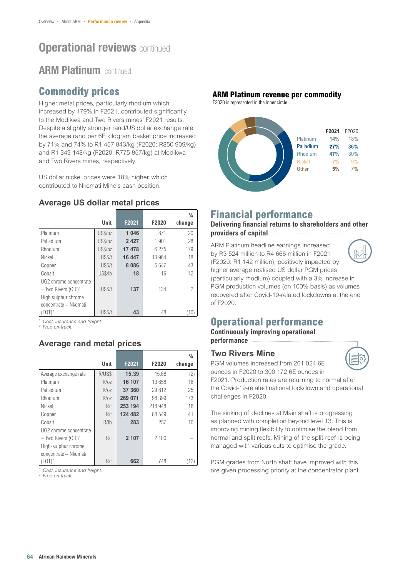### **ARM Platinum continued**

### **Commodity prices**

Higher metal prices, particularly rhodium which increased by 179% in F2021, contributed significantly to the Modikwa and Two Rivers mines' F2021 results. Despite a slightly stronger rand/US dollar exchange rate, the average rand per 6E kilogram basket price increased by 71% and 74% to R1 457 843/kg (F2020: R850 909/kg) and R1 349 148/kg (F2020: R775 857/kg) at Modikwa and Two Rivers mines, respectively.

US dollar nickel prices were 18% higher, which contributed to Nkomati Mine's cash position.

#### **Average US dollar metal prices**

|                                                                    | Unit    | F2021   | F2020   | $\frac{0}{0}$<br>change |
|--------------------------------------------------------------------|---------|---------|---------|-------------------------|
| Platinum                                                           | US\$/oz | 1 0 4 6 | 871     | 20                      |
| Palladium                                                          | US\$/oz | 2 4 2 7 | 1901    | 28                      |
| Rhodium                                                            | US\$/oz | 17478   | 6 2 7 5 | 179                     |
| Nickel                                                             | US\$/t  | 16 447  | 13 964  | 18                      |
| Copper                                                             | US\$/t  | 8086    | 5647    | 43                      |
| Cobalt                                                             | US\$/lb | 18      | 16      | 12                      |
| UG2 chrome concentrate<br>$-$ Two Rivers (CIF) <sup>1</sup>        | US\$/t  | 137     | 134     | 2                       |
| High sulphur chrome<br>concentrate - Nkomati<br>$FOT$ <sup>2</sup> | US\$/t  | 43      | 48      | $10^{\circ}$            |

<sup>1</sup> *Cost, insurance and freight.*

<sup>2</sup> *Free-on-truck.*

#### **Average rand metal prices**

|                                                                                    | Unit   | F2021   | F2020   | %<br>change |
|------------------------------------------------------------------------------------|--------|---------|---------|-------------|
| Average exchange rate                                                              | R/US\$ | 15.39   | 15.68   | (2)         |
| Platinum                                                                           | R/oz   | 16 107  | 13 658  | 18          |
| Palladium                                                                          | R/oz   | 37 360  | 29 812  | 25          |
| Rhodium                                                                            | R/oz   | 269 071 | 98 399  | 173         |
| Nickel                                                                             | R/t    | 253 194 | 218 948 | 16          |
| Copper                                                                             | R/t    | 124 482 | 88 549  | 41          |
| Cobalt                                                                             | R/1b   | 283     | 257     | 10          |
| UG2 chrome concentrate<br>$-$ Two Rivers (CIF) <sup>1</sup><br>High-sulphur chrome | R/t    | 2 107   | 2100    |             |
| concentrate - Nkomati<br>(FOT) <sup>2</sup>                                        | R/t    | 662     | 748     | '12)        |

<sup>1</sup> *Cost, insurance and freight.*

<sup>2</sup> *Free-on-truck.*

#### **ARM Platinum revenue per commodity**

F2020 is represented in the inner circle



### **Financial performance**

#### **Delivering financial returns to shareholders and other providers of capital**

ARM Platinum headline earnings increased by R3 524 million to R4 666 million in F2021 (F2020: R1 142 million), positively impacted by higher average realised US dollar PGM prices (particularly rhodium) coupled with a 3% increase in PGM production volumes (on 100% basis) as volumes recovered after Covid-19-related lockdowns at the end of F2020.



### **Operational performance**

**Continuously improving operational performance**

**Two Rivers Mine**



PGM volumes increased from 261 024 6E ounces in F2020 to 300 172 6E ounces in F2021. Production rates are returning to normal after

the Covid-19-related national lockdown and operational challenges in F2020.

The sinking of declines at Main shaft is progressing as planned with completion beyond level 13. This is improving mining flexibility to optimise the blend from normal and split reefs. Mining of the split-reef is being managed with various cuts to optimise the grade.

PGM grades from North shaft have improved with this ore given processing priority at the concentrator plant.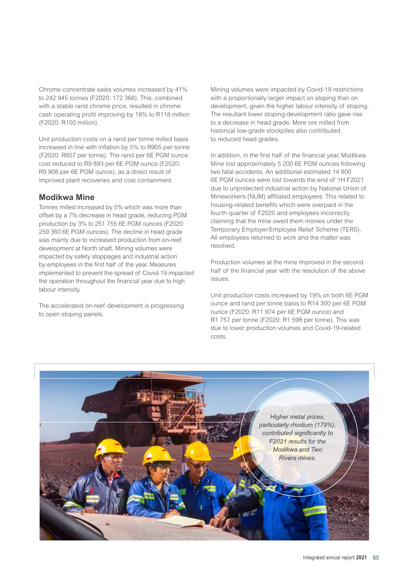Chrome concentrate sales volumes increased by 41% to 242 945 tonnes (F2020: 172 368). This, combined with a stable rand chrome price, resulted in chrome cash operating profit improving by 18% to R118 million (F2020: R100 million).

Unit production costs on a rand per tonne milled basis increased in line with inflation by 5% to R905 per tonne (F2020: R857 per tonne). The rand per 6E PGM ounce cost reduced to R9 893 per 6E PGM ounce (F2020: R9 908 per 6E PGM ounce), as a direct result of improved plant recoveries and cost containment.

#### **Modikwa Mine**

Tonnes milled increased by 5% which was more than offset by a 7% decrease in head grade, reducing PGM production by 3% to 251 755 6E PGM ounces (F2020: 259 360 6E PGM ounces). The decline in head grade was mainly due to increased production from on-reef development at North shaft. Mining volumes were impacted by safety stoppages and industrial action by employees in the first half of the year. Measures implemented to prevent the spread of Covid-19 impacted the operation throughout the financial year due to high labour intensity.

The accelerated on-reef development is progressing to open stoping panels.

Mining volumes were impacted by Covid-19 restrictions with a proportionally larger impact on stoping than on development, given the higher labour intensity of stoping. The resultant lower stoping:development ratio gave rise to a decrease in head grade. More ore milled from historical low-grade stockpiles also contributed to reduced head grades.

In addition, in the first half of the financial year, Modikwa Mine lost approximately 5 200 6E PGM ounces following two fatal accidents. An additional estimated 14 800 6E PGM ounces were lost towards the end of 1H F2021 due to unprotected industrial action by National Union of Mineworkers (NUM) affiliated employees. This related to housing-related benefits which were overpaid in the fourth quarter of F2020 and employees incorrectly claiming that the mine owed them monies under the Temporary Employer/Employee Relief Scheme (TERS). All employees returned to work and the matter was resolved.

Production volumes at the mine improved in the second half of the financial year with the resolution of the above issues.

Unit production costs increased by 19% on both 6E PGM ounce and rand per tonne basis to R14 300 per 6E PGM ounce (F2020: R11 974 per 6E PGM ounce) and R1 757 per tonne (F2020: R1 598 per tonne). This was due to lower production volumes and Covid-19-related costs.

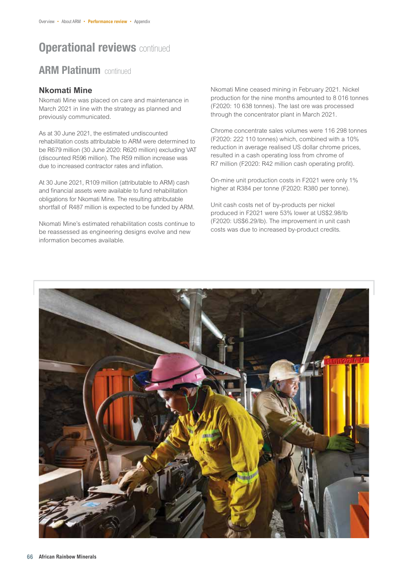### **ARM Platinum continued**

#### **Nkomati Mine**

Nkomati Mine was placed on care and maintenance in March 2021 in line with the strategy as planned and previously communicated.

As at 30 June 2021, the estimated undiscounted rehabilitation costs attributable to ARM were determined to be R679 million (30 June 2020: R620 million) excluding VAT (discounted R596 million). The R59 million increase was due to increased contractor rates and inflation.

At 30 June 2021, R109 million (attributable to ARM) cash and financial assets were available to fund rehabilitation obligations for Nkomati Mine. The resulting attributable shortfall of R487 million is expected to be funded by ARM.

Nkomati Mine's estimated rehabilitation costs continue to be reassessed as engineering designs evolve and new information becomes available.

Nkomati Mine ceased mining in February 2021. Nickel production for the nine months amounted to 8 016 tonnes (F2020: 10 638 tonnes). The last ore was processed through the concentrator plant in March 2021.

Chrome concentrate sales volumes were 116 298 tonnes (F2020: 222 110 tonnes) which, combined with a 10% reduction in average realised US dollar chrome prices, resulted in a cash operating loss from chrome of R7 million (F2020: R42 million cash operating profit).

On-mine unit production costs in F2021 were only 1% higher at R384 per tonne (F2020: R380 per tonne).

Unit cash costs net of by-products per nickel produced in F2021 were 53% lower at US\$2.98/lb (F2020: US\$6.29/lb). The improvement in unit cash costs was due to increased by-product credits.

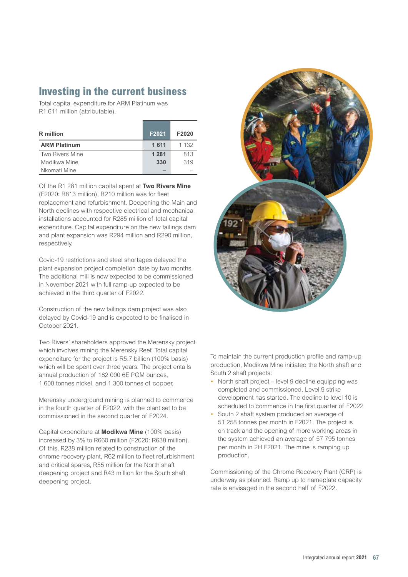### **Investing in the current business**

Total capital expenditure for ARM Platinum was R1 611 million (attributable).

| <b>R</b> million    | F2021   | F2020   |
|---------------------|---------|---------|
| <b>ARM Platinum</b> | 1 6 1 1 | 1 1 3 2 |
| Two Rivers Mine     | 1 2 8 1 | 813     |
| Modikwa Mine        | 330     | 319     |
| Nkomati Mine        |         |         |

Of the R1 281 million capital spent at **Two Rivers Mine** (F2020: R813 million), R210 million was for fleet replacement and refurbishment. Deepening the Main and North declines with respective electrical and mechanical installations accounted for R285 million of total capital expenditure. Capital expenditure on the new tailings dam and plant expansion was R294 million and R290 million, respectively.

Covid-19 restrictions and steel shortages delayed the plant expansion project completion date by two months. The additional mill is now expected to be commissioned in November 2021 with full ramp-up expected to be achieved in the third quarter of F2022.

Construction of the new tailings dam project was also delayed by Covid-19 and is expected to be finalised in October 2021.

Two Rivers' shareholders approved the Merensky project which involves mining the Merensky Reef. Total capital expenditure for the project is R5.7 billion (100% basis) which will be spent over three years. The project entails annual production of 182 000 6E PGM ounces, 1 600 tonnes nickel, and 1 300 tonnes of copper.

Merensky underground mining is planned to commence in the fourth quarter of F2022, with the plant set to be commissioned in the second quarter of F2024.

Capital expenditure at **Modikwa Mine** (100% basis) increased by 3% to R660 million (F2020: R638 million). Of this, R238 million related to construction of the chrome recovery plant, R62 million to fleet refurbishment and critical spares, R55 million for the North shaft deepening project and R43 million for the South shaft deepening project.



To maintain the current production profile and ramp-up production, Modikwa Mine initiated the North shaft and South 2 shaft projects:

- North shaft project level 9 decline equipping was completed and commissioned. Level 9 strike development has started. The decline to level 10 is scheduled to commence in the first quarter of F2022
- South 2 shaft system produced an average of 51 258 tonnes per month in F2021. The project is on track and the opening of more working areas in the system achieved an average of 57 795 tonnes per month in 2H F2021. The mine is ramping up production.

Commissioning of the Chrome Recovery Plant (CRP) is underway as planned. Ramp up to nameplate capacity rate is envisaged in the second half of F2022.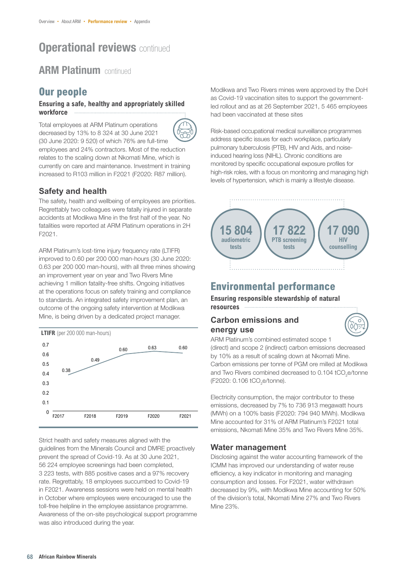### **ARM Platinum continued**

### **Our people**

#### **Ensuring a safe, healthy and appropriately skilled workforce**

Total employees at ARM Platinum operations decreased by 13% to 8 324 at 30 June 2021



(30 June 2020: 9 520) of which 76% are full-time employees and 24% contractors. Most of the reduction relates to the scaling down at Nkomati Mine, which is currently on care and maintenance. Investment in training increased to R103 million in F2021 (F2020: R87 million).

### **Safety and health**

The safety, health and wellbeing of employees are priorities. Regrettably two colleagues were fatally injured in separate accidents at Modikwa Mine in the first half of the year. No fatalities were reported at ARM Platinum operations in 2H F2021.

ARM Platinum's lost-time injury frequency rate (LTIFR) improved to 0.60 per 200 000 man-hours (30 June 2020: 0.63 per 200 000 man-hours), with all three mines showing an improvement year on year and Two Rivers Mine achieving 1 million fatality-free shifts. Ongoing initiatives at the operations focus on safety training and compliance to standards. An integrated safety improvement plan, an outcome of the ongoing safety intervention at Modikwa Mine, is being driven by a dedicated project manager.



Strict health and safety measures aligned with the guidelines from the Minerals Council and DMRE proactively prevent the spread of Covid-19. As at 30 June 2021, 56 224 employee screenings had been completed, 3 223 tests, with 885 positive cases and a 97% recovery rate. Regrettably, 18 employees succumbed to Covid-19 in F2021. Awareness sessions were held on mental health in October where employees were encouraged to use the toll-free helpline in the employee assistance programme. Awareness of the on-site psychological support programme was also introduced during the year.

Modikwa and Two Rivers mines were approved by the DoH as Covid-19 vaccination sites to support the governmentled rollout and as at 26 September 2021, 5 465 employees had been vaccinated at these sites

Risk-based occupational medical surveillance programmes address specific issues for each workplace, particularly pulmonary tuberculosis (PTB), HIV and Aids, and noiseinduced hearing loss (NIHL). Chronic conditions are monitored by specific occupational exposure profiles for high-risk roles, with a focus on monitoring and managing high levels of hypertension, which is mainly a lifestyle disease.



### **Environmental performance**

**Ensuring responsible stewardship of natural resources**

#### **Carbon emissions and energy use**



ARM Platinum's combined estimated scope 1 (direct) and scope 2 (indirect) carbon emissions decreased by 10% as a result of scaling down at Nkomati Mine. Carbon emissions per tonne of PGM ore milled at Modikwa and Two Rivers combined decreased to 0.104 tCO<sub>2</sub>e/tonne (F2020: 0.106 tCO<sub>2</sub>e/tonne).

Electricity consumption, the major contributor to these emissions, decreased by 7% to 736 913 megawatt hours (MWh) on a 100% basis (F2020: 794 940 MWh). Modikwa Mine accounted for 31% of ARM Platinum's F2021 total emissions, Nkomati Mine 35% and Two Rivers Mine 35%.

### **Water management**

Disclosing against the water accounting framework of the ICMM has improved our understanding of water reuse efficiency, a key indicator in monitoring and managing consumption and losses. For F2021, water withdrawn decreased by 9%, with Modikwa Mine accounting for 50% of the division's total, Nkomati Mine 27% and Two Rivers Mine 23%.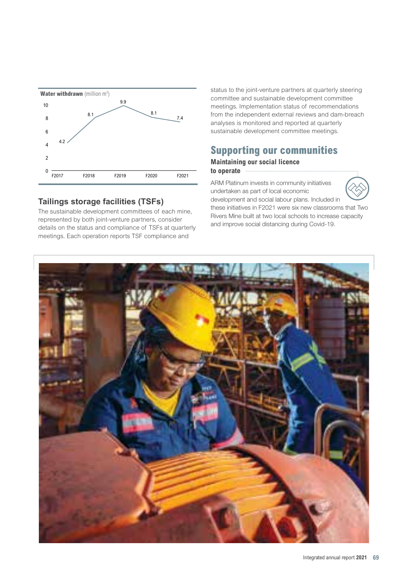

#### **Tailings storage facilities (TSFs)**

The sustainable development committees of each mine, represented by both joint-venture partners, consider details on the status and compliance of TSFs at quarterly meetings. Each operation reports TSF compliance and

status to the joint-venture partners at quarterly steering committee and sustainable development committee meetings. Implementation status of recommendations from the independent external reviews and dam-breach analyses is monitored and reported at quarterly sustainable development committee meetings.

### **Supporting our communities**

#### **Maintaining our social licence to operate**

ARM Platinum invests in community initiatives undertaken as part of local economic development and social labour plans. Included in



these initiatives in F2021 were six new classrooms that Two Rivers Mine built at two local schools to increase capacity and improve social distancing during Covid-19.

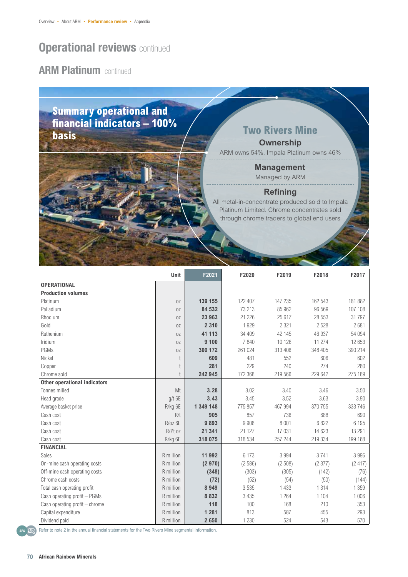### **ARM Platinum continued**

### **Summary operational and financial indicators – 100% basis basis basis** *Two Rivers Mine*

**Ownership**

ARM owns 54%, Impala Platinum owns 46%

**Management** Managed by ARM

#### **Refining**

All metal-in-concentrate produced sold to Impala Platinum Limited. Chrome concentrates sold through chrome traders to global end users

|                                     | Unit      | F2021     | F2020   | F2019   | F2018   | F2017   |
|-------------------------------------|-----------|-----------|---------|---------|---------|---------|
| <b>OPERATIONAL</b>                  |           |           |         |         |         |         |
| <b>Production volumes</b>           |           |           |         |         |         |         |
| Platinum                            | 0Z        | 139 155   | 122 407 | 147 235 | 162 543 | 181 882 |
| Palladium                           | 0Z        | 84 532    | 73 213  | 85 962  | 96 569  | 107 108 |
| Rhodium                             | 0Z        | 23 963    | 21 226  | 25 617  | 28 553  | 31797   |
| Gold                                | 0Z        | 2 3 1 0   | 1929    | 2 3 2 1 | 2528    | 2681    |
| Ruthenium                           | 0Z        | 41 113    | 34 409  | 42 145  | 46 937  | 54 094  |
| Iridium                             | 0Z        | 9 100     | 7840    | 10 1 26 | 11 274  | 12 653  |
| PGMs                                | 0Z        | 300 172   | 261 024 | 313 406 | 348 405 | 390 214 |
| Nickel                              |           | 609       | 481     | 552     | 606     | 602     |
| Copper                              |           | 281       | 229     | 240     | 274     | 280     |
| Chrome sold                         |           | 242 945   | 172 368 | 219 566 | 229 642 | 275 189 |
| <b>Other operational indicators</b> |           |           |         |         |         |         |
| Tonnes milled                       | Mt        | 3.28      | 3.02    | 3.40    | 3.46    | 3.50    |
| Head grade                          | $g/t$ 6E  | 3.43      | 3.45    | 3.52    | 3.63    | 3.90    |
| Average basket price                | R/kg 6E   | 1 349 148 | 775 857 | 467 994 | 370 755 | 333746  |
| Cash cost                           | R/t       | 905       | 857     | 736     | 688     | 690     |
| Cash cost                           | $R/oz$ 6E | 9893      | 9 9 0 8 | 8 0 0 1 | 6822    | 6 1 9 5 |
| Cash cost                           | $R/Pt$ oz | 21 341    | 21 1 27 | 17 031  | 14 623  | 13 291  |
| Cash cost                           | R/kg 6E   | 318 075   | 318 534 | 257 244 | 219 334 | 199 168 |
| <b>FINANCIAL</b>                    |           |           |         |         |         |         |
| Sales                               | R million | 11 992    | 6 173   | 3 9 9 4 | 3741    | 3 9 9 6 |
| On-mine cash operating costs        | R million | (2970)    | (2586)  | (2508)  | (2377)  | (2417)  |
| Off-mine cash operating costs       | R million | (348)     | (303)   | (305)   | (142)   | (76)    |
| Chrome cash costs                   | R million | (72)      | (52)    | (54)    | (50)    | (144)   |
| Total cash operating profit         | R million | 8949      | 3535    | 1 4 3 3 | 1314    | 1 3 5 9 |
| Cash operating profit - PGMs        | R million | 8 8 3 2   | 3 4 3 5 | 1 2 6 4 | 1 1 0 4 | 1 0 0 6 |
| Cash operating profit - chrome      | R million | 118       | 100     | 168     | 210     | 353     |
| Capital expenditure                 | R million | 1 2 8 1   | 813     | 587     | 455     | 293     |
| Dividend paid                       | R million | 2650      | 1 2 3 0 | 524     | 543     | 570     |

AFS **ARS** Refer to note 2 in the annual financial statements for the Two Rivers Mine segmental information.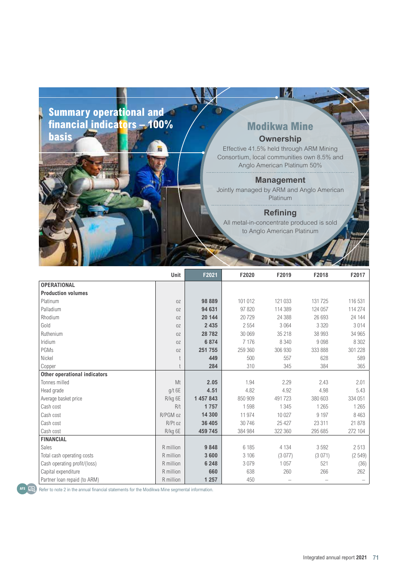### **Summary operational and financial indicators – 100% basis**

### **Modikwa Mine Ownership**

Ш

Effective 41.5% held through ARM Mining Consortium, local communities own 8.5% and Anglo American Platinum 50%

#### **Management**

Jointly managed by ARM and Anglo American Platinum

#### **Refining**

All metal-in-concentrate produced is sold to Anglo American Platinum

|                                     | Unit      | F2021     | F2020   | F2019   | F2018   | F2017   |
|-------------------------------------|-----------|-----------|---------|---------|---------|---------|
| <b>OPERATIONAL</b>                  |           |           |         |         |         |         |
| <b>Production volumes</b>           |           |           |         |         |         |         |
| Platinum                            | 0Z        | 98 889    | 101 012 | 121 033 | 131725  | 116 531 |
| Palladium                           | 0Z        | 94 631    | 97 820  | 114 389 | 124 057 | 114 274 |
| Rhodium                             | 0Z        | 20 144    | 20729   | 24 388  | 26 693  | 24 144  |
| Gold                                | 0Z        | 2 4 3 5   | 2 5 5 4 | 3 0 6 4 | 3 3 2 0 | 3014    |
| Ruthenium                           | 0Z        | 28782     | 30 069  | 35 218  | 38 993  | 34 965  |
| Iridium                             | 0Z        | 6874      | 7 1 7 6 | 8 3 4 0 | 9098    | 8 3 0 2 |
| PGMs                                | 0Z        | 251 755   | 259 360 | 306 930 | 333 888 | 301 228 |
| Nickel                              |           | 449       | 500     | 557     | 628     | 589     |
| Copper                              |           | 284       | 310     | 345     | 384     | 365     |
| <b>Other operational indicators</b> |           |           |         |         |         |         |
| Tonnes milled                       | Mt        | 2.05      | 1.94    | 2.29    | 2.43    | 2.01    |
| Head grade                          | $g/t$ 6E  | 4.51      | 4.82    | 4.92    | 4.98    | 5.43    |
| Average basket price                | R/kg 6E   | 1 457 843 | 850 909 | 491723  | 380 603 | 334 051 |
| Cash cost                           | R/t       | 1757      | 1598    | 1 3 4 5 | 1 2 6 5 | 1 2 6 5 |
| Cash cost                           | R/PGM oz  | 14 300    | 11 974  | 10 0 27 | 9 1 9 7 | 8463    |
| Cash cost                           | R/Pt oz   | 36 405    | 30 746  | 25 4 27 | 23 311  | 21 878  |
| Cash cost                           | R/kg 6E   | 459 745   | 384 984 | 322 360 | 295 685 | 272 104 |
| <b>FINANCIAL</b>                    |           |           |         |         |         |         |
| Sales                               | R million | 9848      | 6 185   | 4 1 3 4 | 3592    | 2513    |
| Total cash operating costs          | R million | 3600      | 3 10 6  | (3077)  | (3071)  | (2549)  |
| Cash operating profit/(loss)        | R million | 6 2 4 8   | 3079    | 1 0 5 7 | 521     | (36)    |
| Capital expenditure                 | R million | 660       | 638     | 260     | 266     | 262     |
| Partner Ioan repaid (to ARM)        | R million | 1 2 5 7   | 450     |         |         |         |



AFS CR, Refer to note 2 in the annual financial statements for the Modikwa Mine segmental information.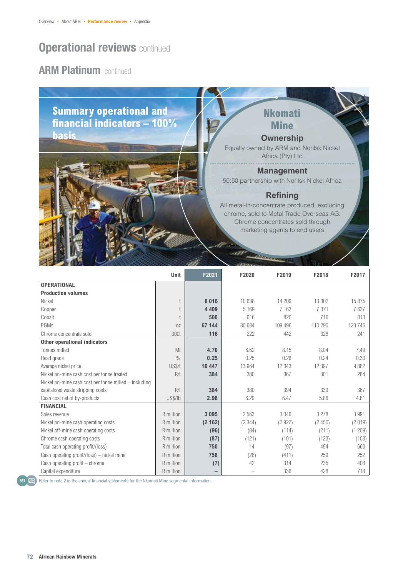### **ARM Platinum continued**

**Summary operational and financial indicators – 100% basis** 

### **Nkomati Mine**

#### **Ownership**

Equally owned by ARM and Norilsk Nickel Africa (Pty) Ltd

#### **Management**

50:50 partnership with Norilsk Nickel Africa

#### **Refining**

All metal-in-concentrate produced, excluding chrome, sold to Metal Trade Overseas AG. Chrome concentrates sold through marketing agents to end users

|                                                       | Unit          | F2021   | F2020   | F2019   | F2018    | F2017  |
|-------------------------------------------------------|---------------|---------|---------|---------|----------|--------|
| <b>OPERATIONAL</b>                                    |               |         |         |         |          |        |
| <b>Production volumes</b>                             |               |         |         |         |          |        |
| Nickel                                                |               | 8016    | 10 638  | 14 209  | 13 30 2  | 15 875 |
| Copper                                                |               | 4 4 0 9 | 5 1 6 9 | 7 1 6 3 | 7 3 7 1  | 7637   |
| Cobalt                                                |               | 500     | 616     | 820     | 716      | 813    |
| PGMs                                                  | 0Z            | 67 144  | 80 684  | 109 496 | 110 290  | 123745 |
| Chrome concentrate sold                               | 000t          | 116     | 222     | 442     | 328      | 241    |
| Other operational indicators                          |               |         |         |         |          |        |
| Tonnes milled                                         | Mt            | 4.70    | 6.62    | 8.15    | 8.04     | 7.49   |
| Head grade                                            | $\frac{0}{0}$ | 0.25    | 0.25    | 0.26    | 0.24     | 0.30   |
| Average nickel price                                  | US\$/t        | 16 447  | 13 964  | 12 3 43 | 12 3 9 7 | 9882   |
| Nickel on-mine cash cost per tonne treated            | R/t           | 384     | 380     | 367     | 301      | 284    |
| Nickel on-mine cash cost per tonne milled - including |               |         |         |         |          |        |
| capitalised waste stripping costs                     | R/t           | 384     | 380     | 394     | 339      | 367    |
| Cash cost net of by-products                          | US\$/lb       | 2.98    | 6.29    | 6.47    | 5.86     | 4.81   |
| <b>FINANCIAL</b>                                      |               |         |         |         |          |        |
| Sales revenue                                         | R million     | 3 0 9 5 | 2563    | 3046    | 3 2 7 8  | 3991   |
| Nickel on-mine cash operating costs                   | R million     | (2162)  | (2344)  | (2927)  | (2450)   | (2019) |
| Nickel off-mine cash operating costs                  | R million     | (96)    | (84)    | (114)   | (211)    | (1209) |
| Chrome cash operating costs                           | R million     | (87)    | (121)   | (101)   | (123)    | (103)  |
| Total cash operating profit/(loss)                    | R million     | 750     | 14      | (97)    | 494      | 660    |
| Cash operating profit/(loss) - nickel mine            | R million     | 758     | (28)    | (411)   | 259      | 252    |
| Cash operating profit - chrome                        | R million     | (7)     | 42      | 314     | 235      | 408    |
| Capital expenditure                                   | R million     | -       |         | 336     | 428      | 718    |



AFS<sup>I</sup> LER Refer to note 2 in the annual financial statements for the Nkomati Mine segmental information.